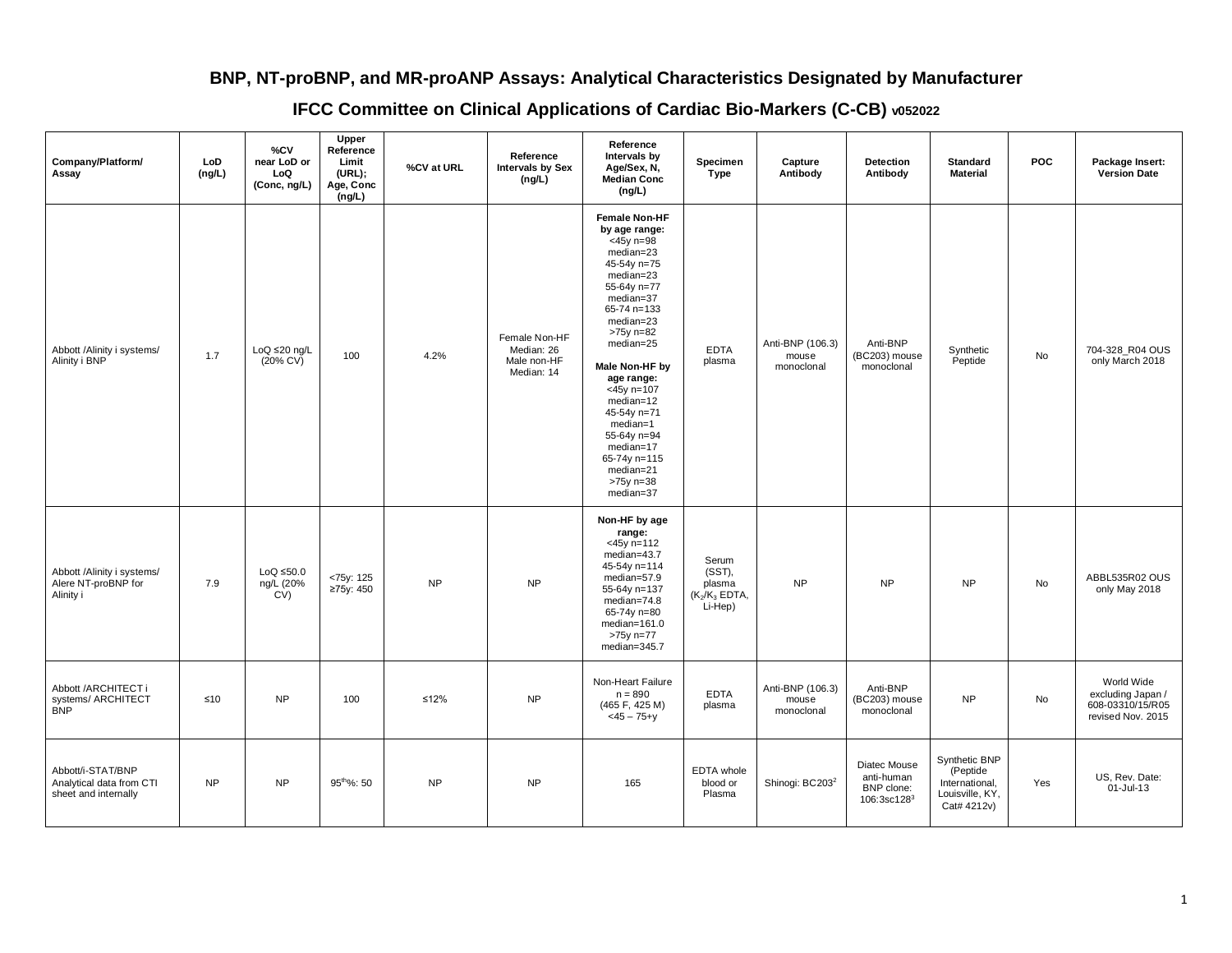## **BNP, NT-proBNP, and MR-proANP Assays: Analytical Characteristics Designated by Manufacturer**

## **IFCC Committee on Clinical Applications of Cardiac Bio-Markers (C-CB) v052022**

| Company/Platform/<br>Assay                                            | LoD<br>(ng/L) | %CV<br>near LoD or<br>LoQ<br>(Conc, ng/L)   | Upper<br>Reference<br>Limit<br>(URL);<br>Age, Conc<br>(ng/L) | %CV at URL | Reference<br><b>Intervals by Sex</b><br>(ng/L)           | Reference<br>Intervals by<br>Age/Sex, N,<br><b>Median Conc</b><br>(ng/L)                                                                                                                                                                                                                                                                                       | Specimen<br><b>Type</b>                                  | Capture<br>Antibody                     | <b>Detection</b><br>Antibody                               | <b>Standard</b><br><b>Material</b>                                            | <b>POC</b> | Package Insert:<br><b>Version Date</b>                                   |
|-----------------------------------------------------------------------|---------------|---------------------------------------------|--------------------------------------------------------------|------------|----------------------------------------------------------|----------------------------------------------------------------------------------------------------------------------------------------------------------------------------------------------------------------------------------------------------------------------------------------------------------------------------------------------------------------|----------------------------------------------------------|-----------------------------------------|------------------------------------------------------------|-------------------------------------------------------------------------------|------------|--------------------------------------------------------------------------|
| Abbott /Alinity i systems/<br>Alinity i BNP                           | 1.7           | $LoQ \leq 20$ ng/L<br>$(20\% \, \text{CV})$ | 100                                                          | 4.2%       | Female Non-HF<br>Median: 26<br>Male non-HF<br>Median: 14 | <b>Female Non-HF</b><br>by age range:<br>$-45y$ n=98<br>median=23<br>45-54y n=75<br>median=23<br>55-64y n=77<br>median=37<br>65-74 n=133<br>median=23<br>>75y n=82<br>median=25<br>Male Non-HF by<br>age range:<br>$< 45y$ n= 107<br>$median=12$<br>45-54y n=71<br>median=1<br>55-64y n=94<br>median=17<br>65-74y n=115<br>median=21<br>>75y n=38<br>median=37 | <b>EDTA</b><br>plasma                                    | Anti-BNP (106.3)<br>mouse<br>monoclonal | Anti-BNP<br>(BC203) mouse<br>monoclonal                    | Synthetic<br>Peptide                                                          | No         | 704-328_R04 OUS<br>only March 2018                                       |
| Abbott /Alinity i systems/<br>Alere NT-proBNP for<br>Alinity i        | 7.9           | $LoQ \leq 50.0$<br>ng/L (20%<br>CV)         | <75y: 125<br>≥75y: 450                                       | <b>NP</b>  | <b>NP</b>                                                | Non-HF by age<br>range:<br>$<$ 45y n=112<br>median=43.7<br>45-54y n=114<br>median=57.9<br>55-64y n=137<br>median=74.8<br>65-74y n=80<br>median=161.0<br>>75y n=77<br>median=345.7                                                                                                                                                                              | Serum<br>(SST),<br>plasma<br>$(K_2/K_3$ EDTA,<br>Li-Hep) | <b>NP</b>                               | <b>NP</b>                                                  | <b>NP</b>                                                                     | No         | ABBL535R02 OUS<br>only May 2018                                          |
| Abbott /ARCHITECT i<br>systems/ ARCHITECT<br><b>BNP</b>               | $≤10$         | <b>NP</b>                                   | 100                                                          | $≤12\%$    | ${\sf NP}$                                               | Non-Heart Failure<br>$n = 890$<br>(465 F, 425 M)<br>$<$ 45 – 75+y                                                                                                                                                                                                                                                                                              | EDTA<br>plasma                                           | Anti-BNP (106.3)<br>mouse<br>monoclonal | Anti-BNP<br>(BC203) mouse<br>monoclonal                    | <b>NP</b>                                                                     | No         | World Wide<br>excluding Japan /<br>608-03310/15/R05<br>revised Nov. 2015 |
| Abbott/i-STAT/BNP<br>Analytical data from CTI<br>sheet and internally | <b>NP</b>     | <b>NP</b>                                   | 95 <sup>tho</sup> %: 50                                      | ${\sf NP}$ | ${\sf NP}$                                               | 165                                                                                                                                                                                                                                                                                                                                                            | EDTA whole<br>blood or<br>Plasma                         | Shinogi: BC203 <sup>2</sup>             | Diatec Mouse<br>anti-human<br>BNP clone:<br>$106:3sc128^3$ | Synthetic BNP<br>(Peptide<br>International,<br>Louisville, KY,<br>Cat# 4212v) | Yes        | US, Rev. Date:<br>01-Jul-13                                              |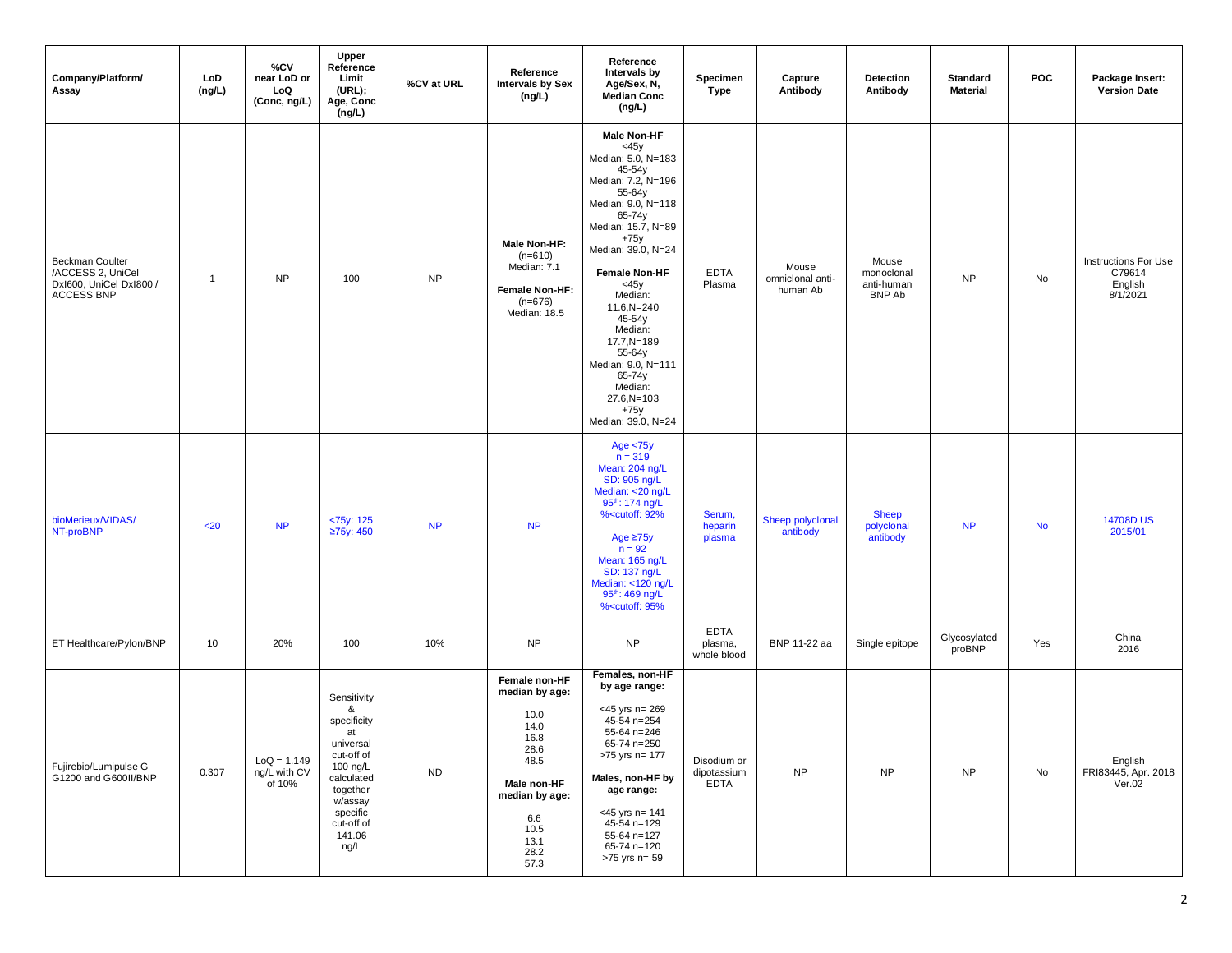| Company/Platform/<br>Assay                                                                  | LoD<br>(ng/L) | %CV<br>near LoD or<br>LoQ<br>(Conc, ng/L) | Upper<br>Reference<br>Limit<br>(URL);<br>Age, Conc<br>(ng/L)                                                                                                  | %CV at URL | Reference<br><b>Intervals by Sex</b><br>(ng/L)                                                                                                  | Reference<br>Intervals by<br>Age/Sex, N,<br><b>Median Conc</b><br>(ng/L)                                                                                                                                                                                                                                                                                                                                                                                                                                                          | Specimen<br><b>Type</b>                   | Capture<br>Antibody                   | <b>Detection</b><br>Antibody                       | <b>Standard</b><br><b>Material</b> | <b>POC</b> | Package Insert:<br><b>Version Date</b>                       |
|---------------------------------------------------------------------------------------------|---------------|-------------------------------------------|---------------------------------------------------------------------------------------------------------------------------------------------------------------|------------|-------------------------------------------------------------------------------------------------------------------------------------------------|-----------------------------------------------------------------------------------------------------------------------------------------------------------------------------------------------------------------------------------------------------------------------------------------------------------------------------------------------------------------------------------------------------------------------------------------------------------------------------------------------------------------------------------|-------------------------------------------|---------------------------------------|----------------------------------------------------|------------------------------------|------------|--------------------------------------------------------------|
| <b>Beckman Coulter</b><br>/ACCESS 2, UniCel<br>Dxl600, UniCel Dxl800 /<br><b>ACCESS BNP</b> | $\mathbf{1}$  | <b>NP</b>                                 | 100                                                                                                                                                           | <b>NP</b>  | Male Non-HF:<br>$(n=610)$<br>Median: 7.1<br>Female Non-HF:<br>$(n=676)$<br>Median: 18.5                                                         | <b>Male Non-HF</b><br><45y<br>Median: 5.0, N=183<br>45-54y<br>Median: 7.2, N=196<br>55-64y<br>Median: 9.0, N=118<br>65-74y<br>Median: 15.7, N=89<br>$+75y$<br>Median: 39.0, N=24<br><b>Female Non-HF</b><br><45y<br>Median:<br>$11.6, N = 240$<br>45-54y<br>Median:<br>$17.7 N = 189$<br>55-64y<br>Median: 9.0, N=111<br>65-74y<br>Median:<br>$27.6,N=103$<br>$+75y$<br>Median: 39.0, N=24                                                                                                                                        | <b>EDTA</b><br>Plasma                     | Mouse<br>omniclonal anti-<br>human Ab | Mouse<br>monoclonal<br>anti-human<br><b>BNP Ab</b> | <b>NP</b>                          | No         | <b>Instructions For Use</b><br>C79614<br>English<br>8/1/2021 |
| bioMerieux/VIDAS/<br>NT-proBNP                                                              | $20$          | <b>NP</b>                                 | $<$ 75y: 125<br>≥75y: 450                                                                                                                                     | NP         | <b>NP</b>                                                                                                                                       | Age $< 75y$<br>$n = 319$<br>Mean: 204 ng/L<br>SD: 905 ng/L<br>Median: <20 ng/L<br>95 <sup>th</sup> : 174 ng/L<br>% <cutoff: 92%<br="">Age <math>\geq</math>75y<br/><math>n = 92</math><br/>Mean: 165 ng/L<br/>SD: 137 ng/L<br/>Median: &lt;120 ng/L<br/>95<sup>th</sup>: 469 ng/L<br/>%<cutoff: 95%<="" td=""><td>Serum,<br/>heparin<br/>plasma</td><td>Sheep polyclonal<br/>antibody</td><td><b>Sheep</b><br/>polyclonal<br/>antibody</td><td><b>NP</b></td><td><b>No</b></td><td>14708D US<br/>2015/01</td></cutoff:></cutoff:> | Serum,<br>heparin<br>plasma               | Sheep polyclonal<br>antibody          | <b>Sheep</b><br>polyclonal<br>antibody             | <b>NP</b>                          | <b>No</b>  | 14708D US<br>2015/01                                         |
| ET Healthcare/Pylon/BNP                                                                     | 10            | 20%                                       | 100                                                                                                                                                           | 10%        | ${\sf NP}$                                                                                                                                      | <b>NP</b>                                                                                                                                                                                                                                                                                                                                                                                                                                                                                                                         | <b>EDTA</b><br>plasma,<br>whole blood     | BNP 11-22 aa                          | Single epitope                                     | Glycosylated<br>proBNP             | Yes        | China<br>2016                                                |
| Fujirebio/Lumipulse G<br>G1200 and G600II/BNP                                               | 0.307         | $LoQ = 1.149$<br>ng/L with CV<br>of 10%   | Sensitivity<br>&<br>specificity<br>at<br>universal<br>cut-off of<br>100 ng/L<br>calculated<br>together<br>w/assay<br>specific<br>cut-off of<br>141.06<br>ng/L | ${\sf ND}$ | Female non-HF<br>median by age:<br>10.0<br>14.0<br>16.8<br>28.6<br>48.5<br>Male non-HF<br>median by age:<br>6.6<br>10.5<br>13.1<br>28.2<br>57.3 | Females, non-HF<br>by age range:<br>$<$ 45 yrs n= 269<br>$45-54$ n=254<br>55-64 n=246<br>65-74 n=250<br>>75 yrs n= 177<br>Males, non-HF by<br>age range:<br>$<$ 45 yrs n= 141<br>$45-54$ n=129<br>55-64 n=127<br>65-74 n=120<br>>75 yrs n= 59                                                                                                                                                                                                                                                                                     | Disodium or<br>dipotassium<br><b>EDTA</b> | <b>NP</b>                             | <b>NP</b>                                          | <b>NP</b>                          | No         | English<br>FRI83445, Apr. 2018<br>Ver.02                     |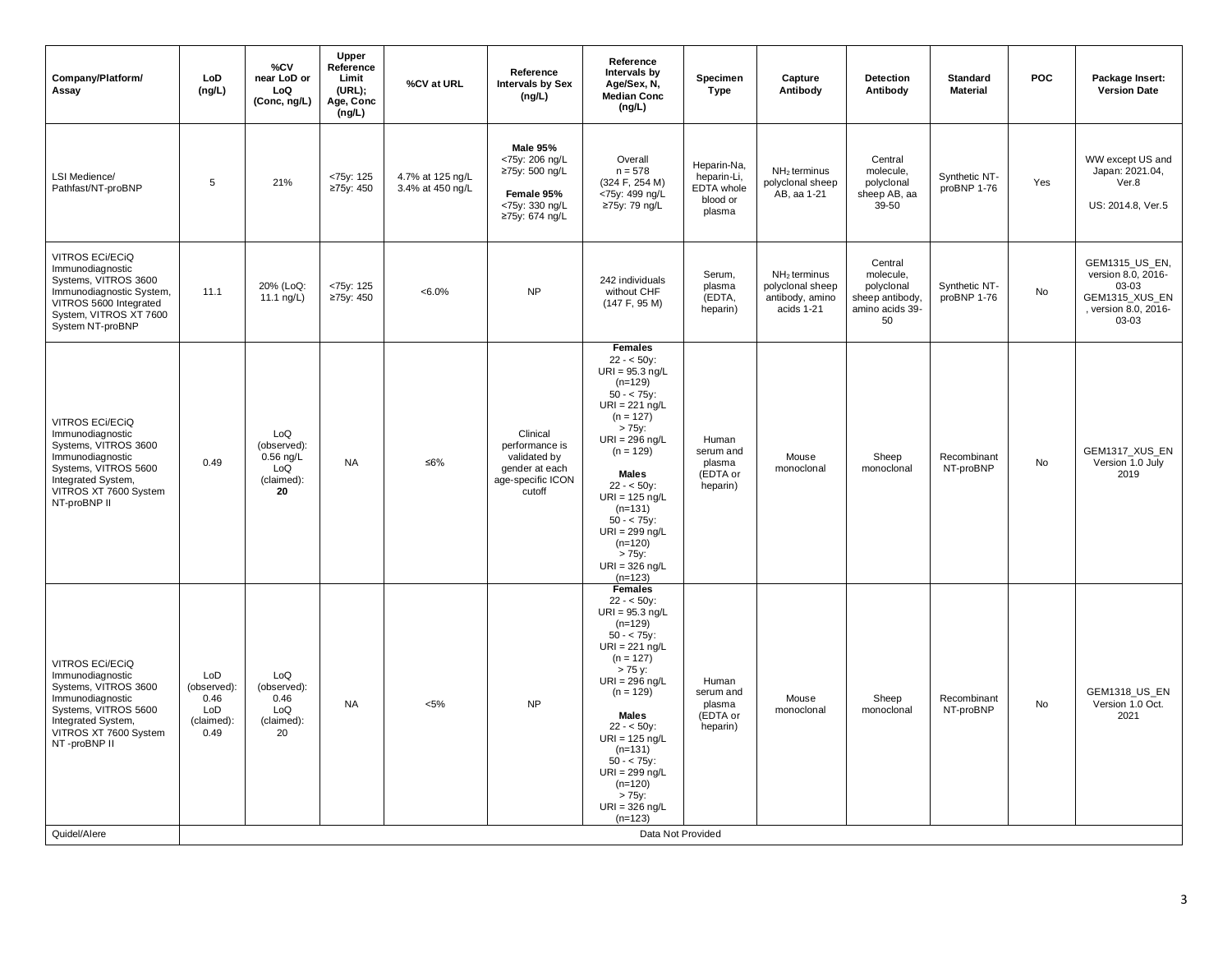| Company/Platform/<br>Assay                                                                                                                                                    | LoD<br>(ng/L)                                           | %CV<br>near LoD or<br>LoQ<br>(Conc, ng/L)                    | Upper<br>Reference<br>Limit<br>(URL);<br>Age, Conc<br>(ng/L) | %CV at URL                           | Reference<br><b>Intervals by Sex</b><br>(ng/L)                                                 | Reference<br>Intervals by<br>Age/Sex, N,<br><b>Median Conc</b><br>(ng/L)                                                                                                                                                                                                                                                            | <b>Specimen</b><br>Type                                        | Capture<br>Antibody                                                 | <b>Detection</b><br>Antibody                                                   | <b>Standard</b><br><b>Material</b> | <b>POC</b> | Package Insert:<br><b>Version Date</b>                                                           |
|-------------------------------------------------------------------------------------------------------------------------------------------------------------------------------|---------------------------------------------------------|--------------------------------------------------------------|--------------------------------------------------------------|--------------------------------------|------------------------------------------------------------------------------------------------|-------------------------------------------------------------------------------------------------------------------------------------------------------------------------------------------------------------------------------------------------------------------------------------------------------------------------------------|----------------------------------------------------------------|---------------------------------------------------------------------|--------------------------------------------------------------------------------|------------------------------------|------------|--------------------------------------------------------------------------------------------------|
| LSI Medience/<br>Pathfast/NT-proBNP                                                                                                                                           | 5                                                       | 21%                                                          | <75y: 125<br>≥75y: 450                                       | 4.7% at 125 ng/L<br>3.4% at 450 ng/L | Male 95%<br><75y: 206 ng/L<br>≥75y: 500 ng/L<br>Female 95%<br><75y: 330 ng/L<br>≥75y: 674 ng/L | Overall<br>$n = 578$<br>(324 F, 254 M)<br><75y: 499 ng/L<br>≥75y: 79 ng/L                                                                                                                                                                                                                                                           | Heparin-Na,<br>heparin-Li,<br>EDTA whole<br>blood or<br>plasma | $NH2$ terminus<br>polyclonal sheep<br>AB, aa 1-21                   | Central<br>molecule,<br>polyclonal<br>sheep AB, aa<br>$39-50$                  | Synthetic NT-<br>proBNP 1-76       | Yes        | WW except US and<br>Japan: 2021.04,<br>Ver.8<br>US: 2014.8, Ver.5                                |
| <b>VITROS ECI/ECIQ</b><br>Immunodiagnostic<br>Systems, VITROS 3600<br>Immunodiagnostic System,<br>VITROS 5600 Integrated<br>System, VITROS XT 7600<br>System NT-proBNP        | 11.1                                                    | 20% (LoQ:<br>11.1 $\frac{10}{L}$                             | <75y: 125<br>≥75y: 450                                       | $<6.0\%$                             | <b>NP</b>                                                                                      | 242 individuals<br>without CHF<br>(147 F, 95 M)                                                                                                                                                                                                                                                                                     | Serum,<br>plasma<br>(EDTA,<br>heparin)                         | $NH2$ terminus<br>polyclonal sheep<br>antibody, amino<br>acids 1-21 | Central<br>molecule,<br>polyclonal<br>sheep antibody,<br>amino acids 39-<br>50 | Synthetic NT-<br>proBNP 1-76       | <b>No</b>  | GEM1315_US_EN,<br>version 8.0, 2016-<br>03-03<br>GEM1315_XUS_EN<br>, version 8.0, 2016-<br>03-03 |
| <b>VITROS ECI/ECIQ</b><br>Immunodiagnostic<br>Systems, VITROS 3600<br>Immunodiagnostic<br>Systems, VITROS 5600<br>Integrated System,<br>VITROS XT 7600 System<br>NT-proBNP II | 0.49                                                    | LoQ<br>(observed):<br>$0.56$ ng/L<br>LoQ<br>(claimed):<br>20 | <b>NA</b>                                                    | ≤6%                                  | Clinical<br>performance is<br>validated by<br>gender at each<br>age-specific ICON<br>cutoff    | <b>Females</b><br>$22 - 50y$ :<br>$URI = 95.3$ ng/L<br>$(n=129)$<br>$50 - < 75v$ :<br>$URI = 221$ ng/L<br>$(n = 127)$<br>$> 75$ y:<br>$URI = 296$ ng/L<br>$(n = 129)$<br>Males<br>$22 - 50y$ :<br>$URI = 125$ ng/L<br>$(n=131)$<br>$50 - < 75y$ :<br>$URI = 299$ ng/L<br>$(n=120)$<br>$> 75y$ :<br>URI = $326$ ng/L<br>$(n=123)$    | Human<br>serum and<br>plasma<br>(EDTA or<br>heparin)           | Mouse<br>monoclonal                                                 | Sheep<br>monoclonal                                                            | Recombinant<br>NT-proBNP           | No         | GEM1317_XUS_EN<br>Version 1.0 July<br>2019                                                       |
| <b>VITROS ECI/ECIQ</b><br>Immunodiagnostic<br>Systems, VITROS 3600<br>Immunodiagnostic<br>Systems, VITROS 5600<br>Integrated System,<br>VITROS XT 7600 System<br>NT-proBNP II | LoD<br>(observed):<br>0.46<br>LoD<br>(claimed):<br>0.49 | LoQ<br>(observed):<br>0.46<br>LoQ<br>(claimed):<br>20        | <b>NA</b>                                                    | $< 5\%$                              | <b>NP</b>                                                                                      | <b>Females</b><br>$22 - 50y$ :<br>$URI = 95.3$ ng/L<br>$(n=129)$<br>$50 - 75y$ :<br>$URI = 221$ ng/L<br>$(n = 127)$<br>> 75 y:<br>$URI = 296$ ng/L<br>$(n = 129)$<br><b>Males</b><br>$22 - 50y$ :<br>$URI = 125$ ng/L<br>$(n=131)$<br>$50 - < 75y$ :<br>$URI = 299$ ng/L<br>$(n=120)$<br>$> 75y$ :<br>$URI = 326$ ng/L<br>$(n=123)$ | Human<br>serum and<br>plasma<br>(EDTA or<br>heparin)           | Mouse<br>monoclonal                                                 | Sheep<br>monoclonal                                                            | Recombinant<br>NT-proBNP           | No.        | GEM1318_US_EN<br>Version 1.0 Oct.<br>2021                                                        |
| Quidel/Alere                                                                                                                                                                  |                                                         |                                                              |                                                              |                                      |                                                                                                | Data Not Provided                                                                                                                                                                                                                                                                                                                   |                                                                |                                                                     |                                                                                |                                    |            |                                                                                                  |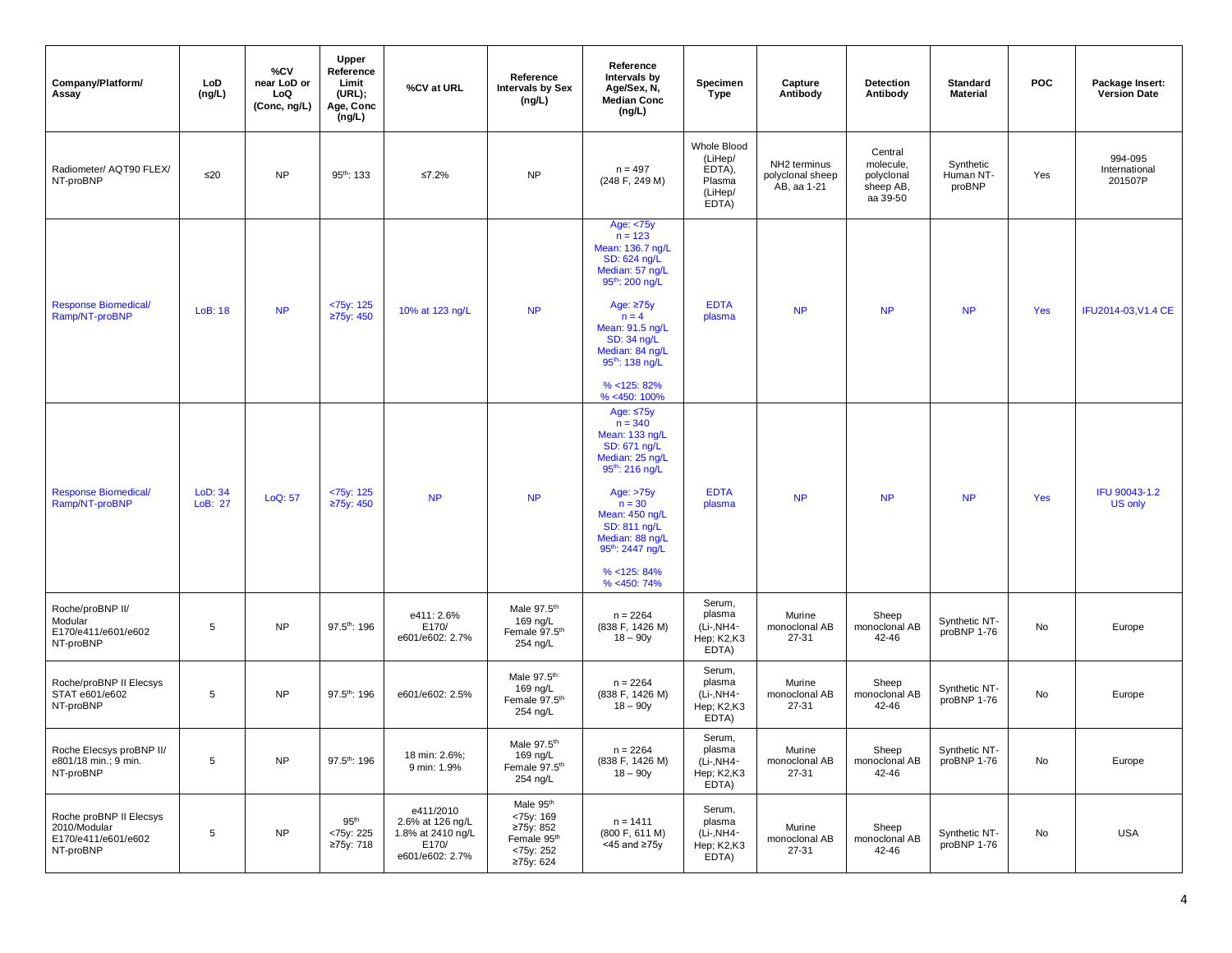| Company/Platform/<br>Assay                                                  | LoD<br>(ng/L)      | %CV<br>near LoD or<br>LoQ<br>(Conc, ng/L) | <b>Upper</b><br>Reference<br>Limit<br>(URL);<br>Age, Conc<br>(ng/L) | %CV at URL                                                                     | Reference<br><b>Intervals by Sex</b><br>(ng/L)                                                          | Reference<br>Intervals by<br>Age/Sex, N,<br><b>Median Conc</b><br>(ng/L)                                                                            | Specimen<br><b>Type</b>                                        | Capture<br>Antibody                             | <b>Detection</b><br>Antibody                                | <b>Standard</b><br><b>Material</b> | <b>POC</b> | Package Insert:<br>Version Date     |
|-----------------------------------------------------------------------------|--------------------|-------------------------------------------|---------------------------------------------------------------------|--------------------------------------------------------------------------------|---------------------------------------------------------------------------------------------------------|-----------------------------------------------------------------------------------------------------------------------------------------------------|----------------------------------------------------------------|-------------------------------------------------|-------------------------------------------------------------|------------------------------------|------------|-------------------------------------|
| Radiometer/ AQT90 FLEX/<br>NT-proBNP                                        | $\leq 20$          | <b>NP</b>                                 | $95^{th}$ : 133                                                     | ≤7.2%                                                                          | <b>NP</b>                                                                                               | $n = 497$<br>(248 F, 249 M)                                                                                                                         | Whole Blood<br>(LiHep/<br>EDTA),<br>Plasma<br>(LiHep/<br>EDTA) | NH2 terminus<br>polyclonal sheep<br>AB, aa 1-21 | Central<br>molecule,<br>polyclonal<br>sheep AB,<br>aa 39-50 | Synthetic<br>Human NT-<br>proBNP   | Yes        | 994-095<br>International<br>201507P |
|                                                                             |                    |                                           |                                                                     |                                                                                |                                                                                                         | Age: <75y<br>$n = 123$<br>Mean: 136.7 ng/L<br>SD: 624 ng/L<br>Median: 57 ng/L<br>$95^{th}$ : 200 ng/L                                               |                                                                |                                                 |                                                             |                                    |            |                                     |
| <b>Response Biomedical/</b><br>Ramp/NT-proBNP                               | LoB: 18            | <b>NP</b>                                 | <75y: 125<br>≥75y: 450                                              | 10% at 123 ng/L                                                                | NP                                                                                                      | Age: ≥75y<br>$n = 4$<br>Mean: 91.5 ng/L<br>SD: 34 ng/L<br>Median: 84 ng/L<br>95 <sup>th</sup> : 138 ng/L                                            | <b>EDTA</b><br>plasma                                          | <b>NP</b>                                       | <b>NP</b>                                                   | <b>NP</b>                          | Yes        | IFU2014-03, V1.4 CE                 |
|                                                                             |                    |                                           |                                                                     |                                                                                |                                                                                                         | $% < 125$ : 82%<br>% <450: 100%<br>Age: $\leq$ 75y<br>$n = 340$<br>Mean: 133 ng/L<br>SD: 671 ng/L<br>Median: 25 ng/L<br>95 <sup>th</sup> : 216 ng/L |                                                                |                                                 |                                                             |                                    |            |                                     |
| <b>Response Biomedical/</b><br>Ramp/NT-proBNP                               | LoD: 34<br>LoB: 27 | LoQ: 57                                   | $<$ 75y: 125<br>≥75y: 450                                           | <b>NP</b>                                                                      | NP                                                                                                      | Age: >75y<br>$n = 30$<br>Mean: 450 ng/L<br>SD: 811 ng/L<br>Median: 88 ng/L<br>95 <sup>th</sup> : 2447 ng/L                                          | <b>EDTA</b><br>plasma                                          | <b>NP</b>                                       | <b>NP</b>                                                   | <b>NP</b>                          | Yes        | IFU 90043-1.2<br><b>US only</b>     |
|                                                                             |                    |                                           |                                                                     |                                                                                |                                                                                                         | $% < 125$ : 84%<br>% <450:74%                                                                                                                       |                                                                |                                                 |                                                             |                                    |            |                                     |
| Roche/proBNP II/<br>Modular<br>E170/e411/e601/e602<br>NT-proBNP             | 5                  | <b>NP</b>                                 | 97.5th: 196                                                         | e411: 2.6%<br>E170/<br>e601/e602: 2.7%                                         | Male 97.5th<br>169 ng/L<br>Female 97.5th<br>254 ng/L                                                    | $n = 2264$<br>(838 F, 1426 M)<br>$18 - 90y$                                                                                                         | Serum,<br>plasma<br>(Li-, NH4-<br>Hep; K2,K3<br>EDTA)          | Murine<br>monoclonal AB<br>27-31                | Sheep<br>monoclonal AB<br>42-46                             | Synthetic NT-<br>proBNP 1-76       | No         | Europe                              |
| Roche/proBNP II Elecsys<br>STAT e601/e602<br>NT-proBNP                      | 5                  | <b>NP</b>                                 | 97.5th: 196                                                         | e601/e602: 2.5%                                                                | Male 97.5th:<br>169 ng/L<br>Female 97.5th<br>254 ng/L                                                   | $n = 2264$<br>(838 F, 1426 M)<br>18 – 90y                                                                                                           | Serum,<br>plasma<br>(Li-, NH4-<br>Hep; K2,K3<br>EDTA)          | Murine<br>monoclonal AB<br>27-31                | Sheep<br>monoclonal AB<br>42-46                             | Synthetic NT-<br>proBNP 1-76       | No         | Europe                              |
| Roche Elecsys proBNP II/<br>e801/18 min.; 9 min.<br>NT-proBNP               | $5\phantom{.0}$    | <b>NP</b>                                 | 97.5th: 196                                                         | 18 min: 2.6%;<br>9 min: 1.9%                                                   | Male 97.5 <sup>th</sup><br>169 ng/L<br>Female 97.5th<br>254 ng/L                                        | $n = 2264$<br>(838 F, 1426 M)<br>$18 - 90y$                                                                                                         | Serum,<br>plasma<br>(Li-, NH4-<br>Hep; K2,K3<br>EDTA)          | Murine<br>monoclonal AB<br>27-31                | Sheep<br>monoclonal AB<br>42-46                             | Synthetic NT-<br>proBNP 1-76       | No         | Europe                              |
| Roche proBNP II Elecsys<br>2010/Modular<br>E170/e411/e601/e602<br>NT-proBNP | 5                  | <b>NP</b>                                 | 95 <sup>th</sup><br><75y: 225<br>≥75y: 718                          | e411/2010<br>2.6% at 126 ng/L<br>1.8% at 2410 ng/L<br>E170/<br>e601/e602: 2.7% | Male 95 <sup>th</sup><br><75y: 169<br>≥75y: 852<br>Female 95 <sup>th</sup><br>$<75y$ : 252<br>≥75y: 624 | $n = 1411$<br>(800 F, 611 M)<br>$<$ 45 and $\geq$ 75y                                                                                               | Serum,<br>plasma<br>(Li-, NH4-<br>Hep; K2,K3<br>EDTA)          | Murine<br>monoclonal AB<br>27-31                | Sheep<br>monoclonal AB<br>42-46                             | Synthetic NT-<br>proBNP 1-76       | No         | <b>USA</b>                          |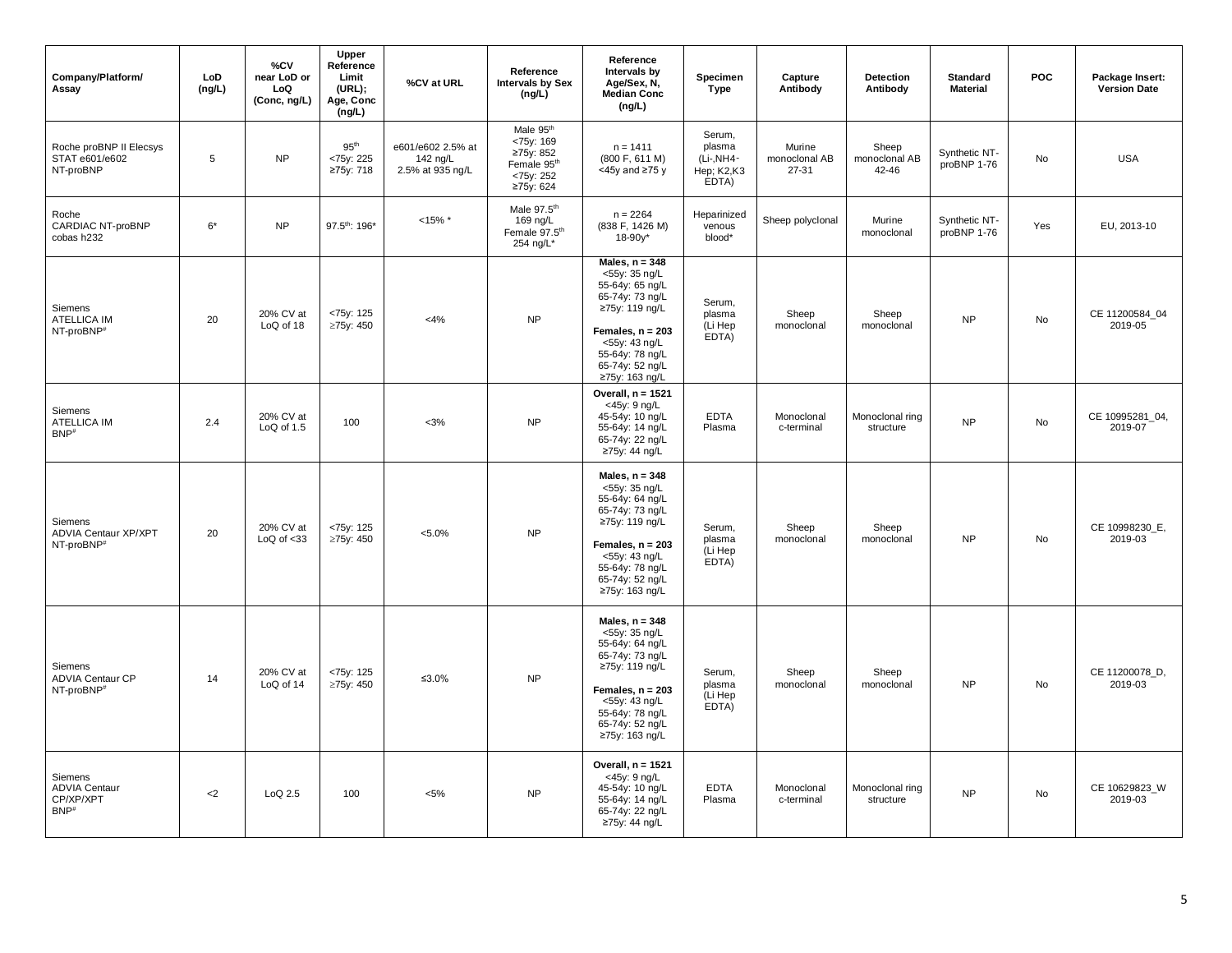| Company/Platform/<br>Assay                                         | LoD<br>(ng/L) | %CV<br>near LoD or<br>LoQ<br>(Conc, ng/L) | <b>Upper</b><br>Reference<br>Limit<br>(URL);<br>Age, Conc<br>(ng/L) | %CV at URL                                        | Reference<br><b>Intervals by Sex</b><br>(ng/L)                               | Reference<br>Intervals by<br>Age/Sex, N,<br><b>Median Conc</b><br>(ng/L)                                                                                                                 | Specimen<br>Type                                      | Capture<br>Antibody              | <b>Detection</b><br>Antibody    | <b>Standard</b><br><b>Material</b> | <b>POC</b> | Package Insert:<br><b>Version Date</b> |
|--------------------------------------------------------------------|---------------|-------------------------------------------|---------------------------------------------------------------------|---------------------------------------------------|------------------------------------------------------------------------------|------------------------------------------------------------------------------------------------------------------------------------------------------------------------------------------|-------------------------------------------------------|----------------------------------|---------------------------------|------------------------------------|------------|----------------------------------------|
| Roche proBNP II Elecsys<br>STAT e601/e602<br>NT-proBNP             | 5             | <b>NP</b>                                 | 95 <sup>th</sup><br><75y: 225<br>≥75y: 718                          | e601/e602 2.5% at<br>142 ng/L<br>2.5% at 935 ng/L | Male 95th<br><75y: 169<br>≥75y: 852<br>Female 95th<br><75y: 252<br>≥75y: 624 | $n = 1411$<br>(800 F, 611 M)<br>$<$ 45y and $\geq$ 75 y                                                                                                                                  | Serum,<br>plasma<br>(Li-, NH4-<br>Hep; K2,K3<br>EDTA) | Murine<br>monoclonal AB<br>27-31 | Sheep<br>monoclonal AB<br>42-46 | Synthetic NT-<br>proBNP 1-76       | No         | <b>USA</b>                             |
| Roche<br>CARDIAC NT-proBNP<br>cobas h232                           | $6*$          | <b>NP</b>                                 | 97.5th: 196*                                                        | $<15\%$ *                                         | Male 97.5th<br>169 ng/L<br>Female 97.5th<br>254 ng/L*                        | $n = 2264$<br>(838 F, 1426 M)<br>$18 - 90y^*$                                                                                                                                            | Heparinized<br>venous<br>blood*                       | Sheep polyclonal                 | Murine<br>monoclonal            | Synthetic NT-<br>proBNP 1-76       | Yes        | EU, 2013-10                            |
| Siemens<br><b>ATELLICA IM</b><br>NT-proBNP <sup>#</sup>            | 20            | 20% CV at<br>LoQ of 18                    | <75y: 125<br>≥75y: 450                                              | $<$ 4%                                            | <b>NP</b>                                                                    | Males, $n = 348$<br><55y: 35 ng/L<br>55-64y: 65 ng/L<br>65-74y: 73 ng/L<br>≥75y: 119 ng/L<br>Females, $n = 203$<br><55y: 43 ng/L<br>55-64y: 78 ng/L<br>65-74y: 52 ng/L<br>≥75y: 163 ng/L | Serum,<br>plasma<br>(Li Hep<br>EDTA)                  | Sheep<br>monoclonal              | Sheep<br>monoclonal             | <b>NP</b>                          | No         | CE 11200584_04<br>2019-05              |
| Siemens<br><b>ATELLICA IM</b><br>$BNP$ #                           | 2.4           | 20% CV at<br>$LoQ$ of 1.5                 | 100                                                                 | $<$ 3%                                            | <b>NP</b>                                                                    | Overall, $n = 1521$<br><45y: 9 ng/L<br>45-54y: 10 ng/L<br>55-64y: 14 ng/L<br>65-74y: 22 ng/L<br>≥75y: 44 ng/L                                                                            | <b>EDTA</b><br>Plasma                                 | Monoclonal<br>c-terminal         | Monoclonal ring<br>structure    | <b>NP</b>                          | No         | CE 10995281_04,<br>2019-07             |
| Siemens<br><b>ADVIA Centaur XP/XPT</b><br>NT-proBNP <sup>#</sup>   | 20            | 20% CV at<br>$LoQ$ of $33$                | <75y: 125<br>≥75y: 450                                              | $< 5.0\%$                                         | <b>NP</b>                                                                    | Males, $n = 348$<br><55y: 35 ng/L<br>55-64y: 64 ng/L<br>65-74y: 73 ng/L<br>≥75y: 119 ng/L<br>Females, $n = 203$<br><55y: 43 ng/L<br>55-64y: 78 ng/L<br>65-74y: 52 ng/L<br>≥75y: 163 ng/L | Serum,<br>plasma<br>(Li Hep<br>EDTA)                  | Sheep<br>monoclonal              | Sheep<br>monoclonal             | N <sub>P</sub>                     | No         | CE 10998230_E,<br>2019-03              |
| Siemens<br><b>ADVIA Centaur CP</b><br>NT-proBNP <sup>#</sup>       | 14            | 20% CV at<br>LoQ of 14                    | <75y: 125<br>≥75y: 450                                              | ≤3.0%                                             | <b>NP</b>                                                                    | Males, $n = 348$<br><55y: 35 ng/L<br>55-64y: 64 ng/L<br>65-74y: 73 ng/L<br>≥75y: 119 ng/L<br>Females, $n = 203$<br><55y: 43 ng/L<br>55-64y: 78 ng/L<br>65-74y: 52 ng/L<br>≥75y: 163 ng/L | Serum,<br>plasma<br>(Li Hep<br>EDTA)                  | Sheep<br>monoclonal              | Sheep<br>monoclonal             | <b>NP</b>                          | No         | CE 11200078_D,<br>2019-03              |
| Siemens<br><b>ADVIA Centaur</b><br>CP/XP/XPT<br>$BNP$ <sup>#</sup> | $2$           | LoQ 2.5                                   | 100                                                                 | $< 5\%$                                           | <b>NP</b>                                                                    | Overall, $n = 1521$<br><45y: 9 ng/L<br>45-54y: 10 ng/L<br>55-64y: 14 ng/L<br>65-74y: 22 ng/L<br>≥75y: 44 ng/L                                                                            | <b>EDTA</b><br>Plasma                                 | Monoclonal<br>c-terminal         | Monoclonal ring<br>structure    | <b>NP</b>                          | No         | CE 10629823_W<br>2019-03               |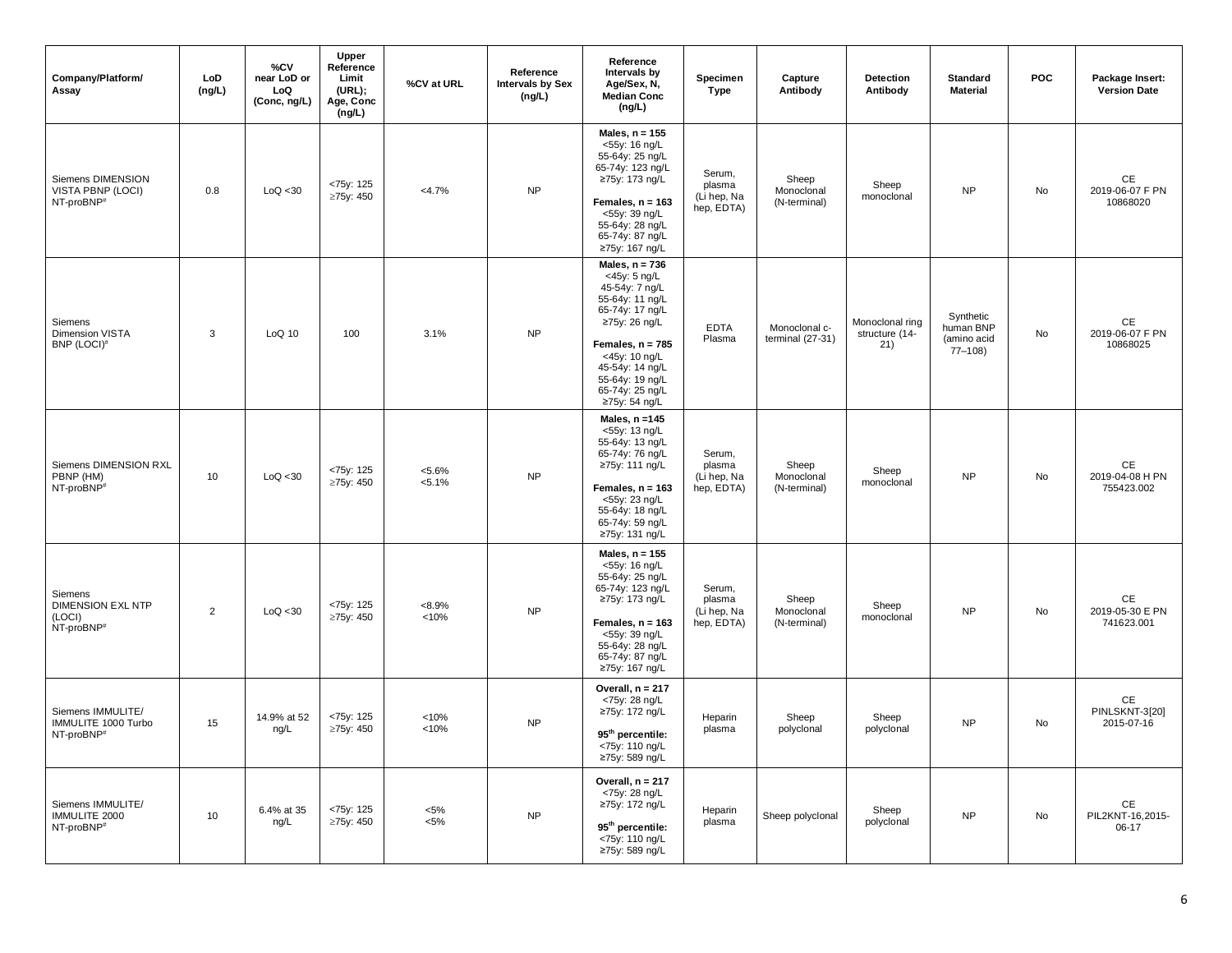| Company/Platform/<br>Assay                                              | LoD<br>(ng/L)  | %CV<br>near LoD or<br>LoQ<br>(Conc, ng/L) | <b>Upper</b><br>Reference<br>Limit<br>(URL);<br>Age, Conc<br>(ng/L) | %CV at URL             | Reference<br><b>Intervals by Sex</b><br>(ng/L) | Reference<br>Intervals by<br>Age/Sex, N,<br><b>Median Conc</b><br>(ng/L)                                                                                                                                                   | Specimen<br><b>Type</b>                       | Capture<br>Antibody                 | Detection<br>Antibody                    | <b>Standard</b><br><b>Material</b>                  | <b>POC</b> | Package Insert:<br><b>Version Date</b>                        |
|-------------------------------------------------------------------------|----------------|-------------------------------------------|---------------------------------------------------------------------|------------------------|------------------------------------------------|----------------------------------------------------------------------------------------------------------------------------------------------------------------------------------------------------------------------------|-----------------------------------------------|-------------------------------------|------------------------------------------|-----------------------------------------------------|------------|---------------------------------------------------------------|
| Siemens DIMENSION<br>VISTA PBNP (LOCI)<br>NT-proBNP <sup>#</sup>        | 0.8            | LoQ < 30                                  | <75y: 125<br>≥75y: 450                                              | $<4.7\%$               | <b>NP</b>                                      | Males, $n = 155$<br><55y: 16 ng/L<br>55-64y: 25 ng/L<br>65-74y: 123 ng/L<br>≥75y: 173 ng/L<br>Females, $n = 163$<br><55y: 39 ng/L<br>55-64y: 28 ng/L<br>65-74y: 87 ng/L<br>≥75y: 167 ng/L                                  | Serum,<br>plasma<br>(Li hep, Na<br>hep, EDTA) | Sheep<br>Monoclonal<br>(N-terminal) | Sheep<br>monoclonal                      | <b>NP</b>                                           | No         | $\mathsf{CE}% _{\mathcal{A}}$<br>2019-06-07 F PN<br>10868020  |
| Siemens<br><b>Dimension VISTA</b><br>BNP (LOCI)#                        | 3              | LoQ 10                                    | 100                                                                 | 3.1%                   | <b>NP</b>                                      | Males, $n = 736$<br><45y: 5 ng/L<br>45-54y: 7 ng/L<br>55-64y: 11 ng/L<br>65-74y: 17 ng/L<br>≥75y: 26 ng/L<br>Females, $n = 785$<br><45y: 10 ng/L<br>45-54y: 14 ng/L<br>55-64y: 19 ng/L<br>65-74y: 25 ng/L<br>≥75y: 54 ng/L | <b>EDTA</b><br>Plasma                         | Monoclonal c-<br>terminal $(27-31)$ | Monoclonal ring<br>structure (14-<br>21) | Synthetic<br>human BNP<br>(amino acid<br>$77 - 108$ | No         | $\mathsf{CE}% _{\mathcal{A}}$<br>2019-06-07 F PN<br>10868025  |
| Siemens DIMENSION RXL<br>PBNP (HM)<br>NT-proBNP <sup>#</sup>            | 10             | LoQ < 30                                  | <75y: 125<br>≥75y: 450                                              | $< 5.6\%$<br>$< 5.1\%$ | <b>NP</b>                                      | Males, $n = 145$<br><55y: 13 ng/L<br>55-64y: 13 ng/L<br>65-74y: 76 ng/L<br>≥75y: 111 ng/L<br>Females, $n = 163$<br><55y: 23 ng/L<br>55-64y: 18 ng/L<br>65-74y: 59 ng/L<br>≥75y: 131 ng/L                                   | Serum,<br>plasma<br>(Li hep, Na<br>hep, EDTA) | Sheep<br>Monoclonal<br>(N-terminal) | Sheep<br>monoclonal                      | <b>NP</b>                                           | No         | CE<br>2019-04-08 H PN<br>755423.002                           |
| Siemens<br><b>DIMENSION EXL NTP</b><br>(LOCI)<br>NT-proBNP <sup>#</sup> | $\overline{2}$ | LoQ < 30                                  | <75y: 125<br>≥75y: 450                                              | $<8.9\%$<br>< 10%      | <b>NP</b>                                      | Males, $n = 155$<br><55y: 16 ng/L<br>55-64y: 25 ng/L<br>65-74y: 123 ng/L<br>≥75y: 173 ng/L<br>Females, $n = 163$<br><55y: 39 ng/L<br>55-64y: 28 ng/L<br>65-74y: 87 ng/L<br>≥75y: 167 ng/L                                  | Serum,<br>plasma<br>(Li hep, Na<br>hep, EDTA) | Sheep<br>Monoclonal<br>(N-terminal) | Sheep<br>monoclonal                      | <b>NP</b>                                           | No         | CE<br>2019-05-30 E PN<br>741623.001                           |
| Siemens IMMULITE/<br>IMMULITE 1000 Turbo<br>NT-proBNP#                  | 15             | 14.9% at 52<br>ng/L                       | <75y: 125<br>≥75y: 450                                              | < 10%<br>< 10%         | <b>NP</b>                                      | Overall, $n = 217$<br><75y: 28 ng/L<br>≥75y: 172 ng/L<br>95 <sup>th</sup> percentile:<br><75y: 110 ng/L<br>≥75y: 589 ng/L                                                                                                  | Heparin<br>plasma                             | Sheep<br>polyclonal                 | Sheep<br>polyclonal                      | <b>NP</b>                                           | No         | $\mathsf{CE}% _{\mathcal{A}}$<br>PINLSKNT-3[20]<br>2015-07-16 |
| Siemens IMMULITE/<br>IMMULITE 2000<br>NT-proBNP <sup>#</sup>            | 10             | 6.4% at 35<br>ng/L                        | <75y: 125<br>≥75y: 450                                              | $<\!\!5\%$<br>$< 5\%$  | ${\sf NP}$                                     | Overall, $n = 217$<br><75y: 28 ng/L<br>≥75y: 172 ng/L<br>95 <sup>th</sup> percentile:<br><75y: 110 ng/L<br>≥75y: 589 ng/L                                                                                                  | Heparin<br>plasma                             | Sheep polyclonal                    | Sheep<br>polyclonal                      | <b>NP</b>                                           | No         | $\mathsf{CE}$<br>PIL2KNT-16,2015-<br>06-17                    |